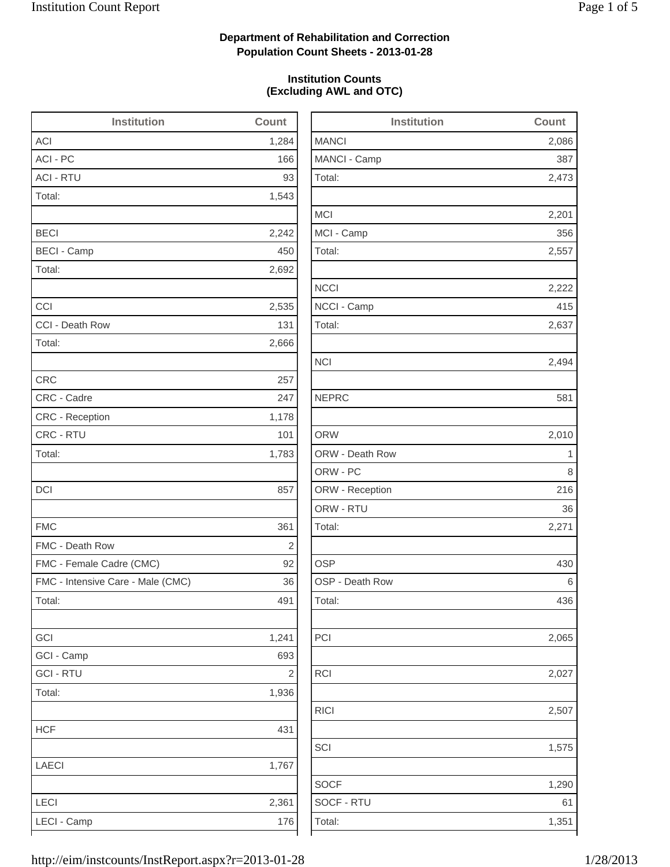2,473

2,201

2,222

2,494

ORW 2,010

2,065

1,575

1,290

## **Department of Rehabilitation and Correction Population Count Sheets - 2013-01-28**

### **Institution Counts (Excluding AWL and OTC)**

| <b>Institution</b>                | Count          | <b>Institution</b> | Count |
|-----------------------------------|----------------|--------------------|-------|
| <b>ACI</b>                        | 1,284          | <b>MANCI</b>       | 2,086 |
| ACI - PC                          | 166            | MANCI - Camp       | 387   |
| <b>ACI - RTU</b>                  | 93             | Total:             | 2,473 |
| Total:                            | 1,543          |                    |       |
|                                   |                | <b>MCI</b>         | 2,201 |
| <b>BECI</b>                       | 2,242          | MCI - Camp         | 356   |
| <b>BECI - Camp</b>                | 450            | Total:             | 2,557 |
| Total:                            | 2,692          |                    |       |
|                                   |                | <b>NCCI</b>        | 2,222 |
| CCI                               | 2,535          | NCCI - Camp        | 415   |
| CCI - Death Row                   | 131            | Total:             | 2,637 |
| Total:                            | 2,666          |                    |       |
|                                   |                | <b>NCI</b>         | 2,494 |
| <b>CRC</b>                        | 257            |                    |       |
| CRC - Cadre                       | 247            | <b>NEPRC</b>       | 581   |
| CRC - Reception                   | 1,178          |                    |       |
| CRC - RTU                         | 101            | <b>ORW</b>         | 2,010 |
| Total:                            | 1,783          | ORW - Death Row    | 1     |
|                                   |                | ORW - PC           | 8     |
| DCI                               | 857            | ORW - Reception    | 216   |
|                                   |                | ORW - RTU          | 36    |
| <b>FMC</b>                        | 361            | Total:             | 2,271 |
| FMC - Death Row                   | $\overline{c}$ |                    |       |
| FMC - Female Cadre (CMC)          | 92             | <b>OSP</b>         | 430   |
| FMC - Intensive Care - Male (CMC) | 36             | OSP - Death Row    | 6     |
| Total:                            | 491            | Total:             | 436   |
| GCI                               | 1,241          | PCI                | 2,065 |
| GCI - Camp                        | 693            |                    |       |
| <b>GCI - RTU</b>                  | $\sqrt{2}$     | <b>RCI</b>         | 2,027 |
| Total:                            | 1,936          |                    |       |
|                                   |                | <b>RICI</b>        | 2,507 |
| <b>HCF</b>                        | 431            |                    |       |
|                                   |                | SCI                | 1,575 |
| LAECI                             | 1,767          |                    |       |
|                                   |                | <b>SOCF</b>        | 1,290 |
| LECI                              | 2,361          | SOCF - RTU         | 61    |
| LECI - Camp                       | 176            | Total:             | 1,351 |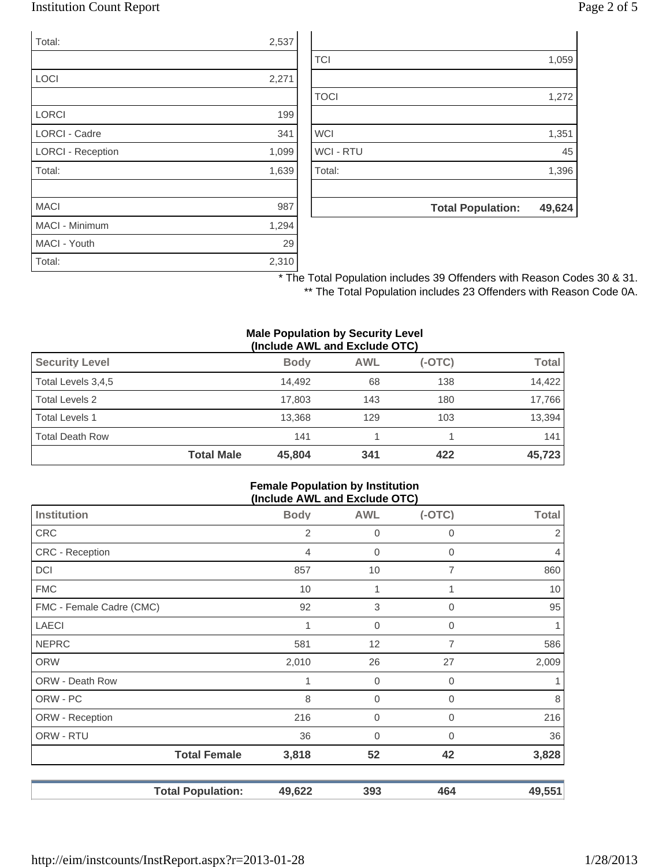### Institution Count Report Page 2 of 5

| Total:                   | 2,537 |
|--------------------------|-------|
|                          |       |
| LOCI                     | 2,271 |
|                          |       |
| <b>LORCI</b>             | 199   |
| <b>LORCI - Cadre</b>     | 341   |
| <b>LORCI - Reception</b> | 1,099 |
| Total:                   | 1,639 |
|                          |       |
| <b>MACI</b>              | 987   |
| <b>MACI - Minimum</b>    | 1,294 |
| MACI - Youth             | 29    |
| Total:                   | 2,310 |

|                  | <b>Total Population:</b> | 49,624 |
|------------------|--------------------------|--------|
|                  |                          |        |
| Total:           |                          | 1,396  |
| <b>WCI - RTU</b> |                          | 45     |
| <b>WCI</b>       |                          | 1,351  |
|                  |                          |        |
| <b>TOCI</b>      |                          | 1,272  |
|                  |                          |        |
| <b>TCI</b>       |                          | 1,059  |

\* The Total Population includes 39 Offenders with Reason Codes 30 & 31. \*\* The Total Population includes 23 Offenders with Reason Code 0A.

#### **Male Population by Security Level (Include AWL and Exclude OTC)**

| <b>Security Level</b>  |                   | <b>Body</b> | <b>AWL</b> | $(-OTC)$ | Total  |
|------------------------|-------------------|-------------|------------|----------|--------|
| Total Levels 3,4,5     |                   | 14.492      | 68         | 138      | 14,422 |
| Total Levels 2         |                   | 17.803      | 143        | 180      | 17,766 |
| <b>Total Levels 1</b>  |                   | 13,368      | 129        | 103      | 13,394 |
| <b>Total Death Row</b> |                   | 141         |            |          | 141    |
|                        | <b>Total Male</b> | 45,804      | 341        | 422      | 45,723 |

#### **Female Population by Institution (Include AWL and Exclude OTC)**

| Institution              | <b>Body</b> | <b>AWL</b>     | - -<br>$(-OTC)$ | <b>Total</b>   |
|--------------------------|-------------|----------------|-----------------|----------------|
| <b>CRC</b>               | 2           | $\mathbf 0$    | 0               | 2              |
| <b>CRC</b> - Reception   | 4           | $\mathbf 0$    | 0               | $\overline{4}$ |
| <b>DCI</b>               | 857         | 10             | 7               | 860            |
| <b>FMC</b>               | 10          |                | 1               | 10             |
| FMC - Female Cadre (CMC) | 92          | 3              | 0               | 95             |
| <b>LAECI</b>             | 1           | $\overline{0}$ | 0               | 1              |
| <b>NEPRC</b>             | 581         | 12             | 7               | 586            |
| <b>ORW</b>               | 2,010       | 26             | 27              | 2,009          |
| ORW - Death Row          |             | $\mathbf 0$    | 0               | 1              |
| ORW - PC                 | 8           | 0              | $\Omega$        | 8              |
| ORW - Reception          | 216         | 0              | 0               | 216            |
| ORW - RTU                | 36          | 0              | 0               | 36             |
| <b>Total Female</b>      | 3,818       | 52             | 42              | 3,828          |
| <b>Total Population:</b> | 49,622      | 393            | 464             | 49,551         |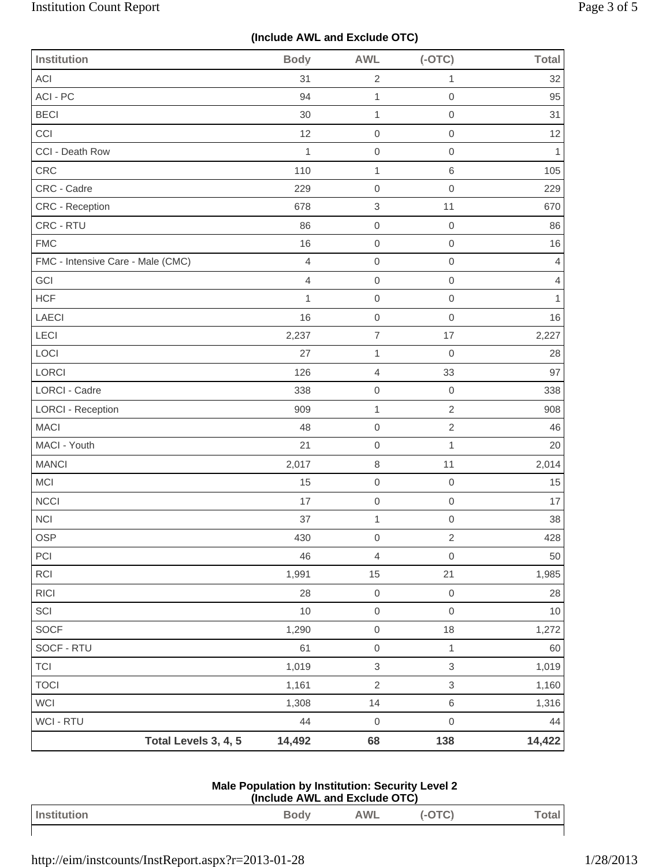# **(Include AWL and Exclude OTC)**

| <b>Institution</b>                | <b>Body</b>    | <b>AWL</b>                | $(-OTC)$                  | <b>Total</b>   |
|-----------------------------------|----------------|---------------------------|---------------------------|----------------|
| <b>ACI</b>                        | 31             | $\overline{2}$            | $\mathbf{1}$              | 32             |
| ACI - PC                          | 94             | $\mathbf{1}$              | $\mathbf 0$               | 95             |
| <b>BECI</b>                       | 30             | $\mathbf{1}$              | $\mbox{O}$                | 31             |
| CCI                               | 12             | $\mathsf{O}\xspace$       | $\mathbf 0$               | 12             |
| CCI - Death Row                   | $\mathbf{1}$   | $\mathbf 0$               | $\mathbf 0$               | 1              |
| CRC                               | 110            | $\mathbf 1$               | $\,6\,$                   | 105            |
| CRC - Cadre                       | 229            | $\mathbf 0$               | $\mathbf 0$               | 229            |
| <b>CRC - Reception</b>            | 678            | $\,$ 3 $\,$               | 11                        | 670            |
| CRC - RTU                         | 86             | $\mathsf{O}\xspace$       | $\boldsymbol{0}$          | 86             |
| <b>FMC</b>                        | 16             | $\mathbf 0$               | $\mathbf 0$               | 16             |
| FMC - Intensive Care - Male (CMC) | $\overline{4}$ | $\mathbf 0$               | $\mathbf 0$               | 4              |
| GCI                               | 4              | $\mathbf 0$               | $\mathbf 0$               | $\overline{4}$ |
| <b>HCF</b>                        | $\mathbf{1}$   | $\mathsf 0$               | $\mbox{O}$                | $\mathbf{1}$   |
| LAECI                             | 16             | $\mathsf{O}\xspace$       | $\mathbf 0$               | 16             |
| LECI                              | 2,237          | $\overline{7}$            | 17                        | 2,227          |
| LOCI                              | 27             | 1                         | $\mathbf 0$               | 28             |
| LORCI                             | 126            | $\overline{4}$            | 33                        | 97             |
| LORCI - Cadre                     | 338            | $\mathsf 0$               | $\mathbf 0$               | 338            |
| <b>LORCI - Reception</b>          | 909            | $\mathbf{1}$              | $\sqrt{2}$                | 908            |
| <b>MACI</b>                       | 48             | $\mathbf 0$               | $\overline{2}$            | 46             |
| MACI - Youth                      | 21             | $\mathbf 0$               | $\mathbf{1}$              | 20             |
| <b>MANCI</b>                      | 2,017          | $\,8\,$                   | 11                        | 2,014          |
| MCI                               | 15             | $\mathsf 0$               | $\mathbf 0$               | 15             |
| NCCI                              | 17             | $\mathsf{O}\xspace$       | $\mathbf 0$               | 17             |
| <b>NCI</b>                        | 37             | $\mathbf{1}$              | $\mathbf 0$               | 38             |
| OSP                               | 430            | $\mathsf{O}\xspace$       | $\sqrt{2}$                | 428            |
| PCI                               | 46             | $\overline{4}$            | $\mathbf 0$               | 50             |
| RCI                               | 1,991          | 15                        | 21                        | 1,985          |
| <b>RICI</b>                       | 28             | $\mathsf{O}\xspace$       | $\,0\,$                   | 28             |
| SCI                               | $10$           | $\mathsf{O}\xspace$       | $\mathbf 0$               | $10$           |
| <b>SOCF</b>                       | 1,290          | $\mathsf{O}\xspace$       | $18$                      | 1,272          |
| SOCF - RTU                        | 61             | $\mathsf{O}\xspace$       | $\mathbf{1}$              | 60             |
| <b>TCI</b>                        | 1,019          | $\ensuremath{\mathsf{3}}$ | $\ensuremath{\mathsf{3}}$ | 1,019          |
| <b>TOCI</b>                       | 1,161          | $\sqrt{2}$                | $\ensuremath{\mathsf{3}}$ | 1,160          |
| <b>WCI</b>                        | 1,308          | 14                        | $\,6\,$                   | 1,316          |
| WCI - RTU                         | 44             | $\mathbf 0$               | $\mathsf{O}\xspace$       | 44             |
| Total Levels 3, 4, 5              | 14,492         | 68                        | 138                       | 14,422         |

| <b>Male Population by Institution: Security Level 2</b> |  |
|---------------------------------------------------------|--|
| (Include AWL and Exclude OTC)                           |  |

| Institution | <b>Body</b><br>$\overline{\phantom{a}}$ | AWL | $\tilde{\phantom{a}}$<br>-<br>$\sim$ |  |
|-------------|-----------------------------------------|-----|--------------------------------------|--|
|             |                                         |     |                                      |  |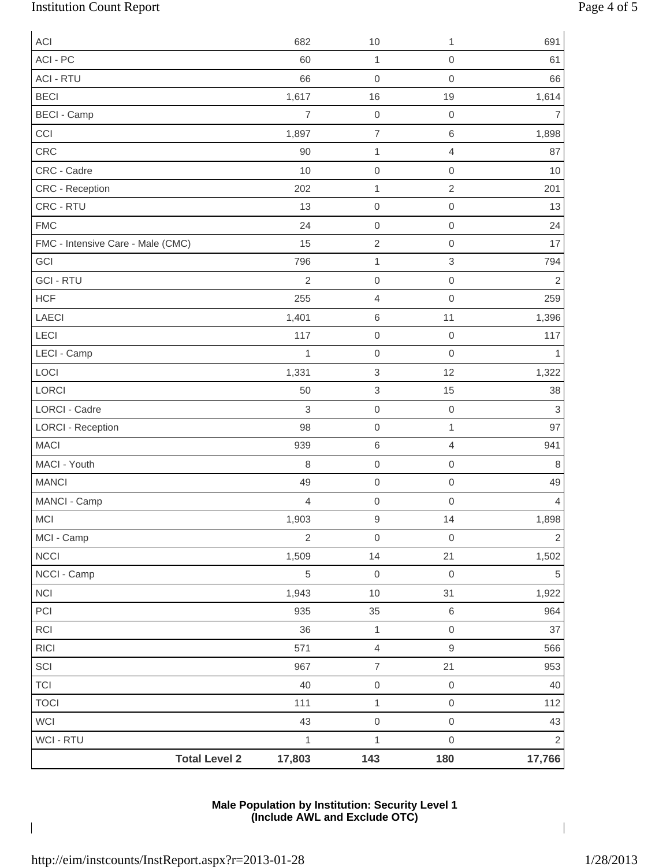# Institution Count Report Page 4 of 5

| <b>ACI</b>                           | 682            | 10                       | 1                   | 691            |
|--------------------------------------|----------------|--------------------------|---------------------|----------------|
| ACI - PC                             | 60             | 1                        | $\mathbf 0$         | 61             |
| <b>ACI - RTU</b>                     | 66             | $\mathbf 0$              | $\mathsf{O}\xspace$ | 66             |
| <b>BECI</b>                          | 1,617          | 16                       | 19                  | 1,614          |
| <b>BECI - Camp</b>                   | $\overline{7}$ | $\mbox{O}$               | $\mbox{O}$          | 7              |
| CCI                                  | 1,897          | $\overline{\mathcal{I}}$ | 6                   | 1,898          |
| CRC                                  | 90             | 1                        | $\overline{4}$      | 87             |
| CRC - Cadre                          | 10             | $\mathbf 0$              | $\mbox{O}$          | 10             |
| CRC - Reception                      | 202            | 1                        | $\overline{c}$      | 201            |
| CRC - RTU                            | 13             | $\mathbf 0$              | $\mbox{O}$          | 13             |
| <b>FMC</b>                           | 24             | $\mbox{O}$               | $\mathsf{O}\xspace$ | 24             |
| FMC - Intensive Care - Male (CMC)    | 15             | $\sqrt{2}$               | $\mathbf 0$         | 17             |
| GCI                                  | 796            | 1                        | $\,$ 3 $\,$         | 794            |
| <b>GCI - RTU</b>                     | $\overline{c}$ | $\boldsymbol{0}$         | $\mathbf 0$         | $\overline{2}$ |
| <b>HCF</b>                           | 255            | $\overline{4}$           | $\mathbf 0$         | 259            |
| LAECI                                | 1,401          | $\,6$                    | 11                  | 1,396          |
| LECI                                 | 117            | $\mbox{O}$               | $\mathbf 0$         | 117            |
| LECI - Camp                          | 1              | $\mathbf 0$              | $\mbox{O}$          |                |
| LOCI                                 | 1,331          | $\,$ 3 $\,$              | 12                  | 1,322          |
| LORCI                                | 50             | 3                        | 15                  | 38             |
| <b>LORCI - Cadre</b>                 | 3              | $\mathbf 0$              | $\mbox{O}$          | 3              |
| <b>LORCI - Reception</b>             | 98             | $\mbox{O}$               | $\mathbf{1}$        | 97             |
| <b>MACI</b>                          | 939            | $\,$ 6 $\,$              | 4                   | 941            |
| MACI - Youth                         | 8              | $\mbox{O}$               | $\mathbf 0$         | 8              |
| <b>MANCI</b>                         | 49             | $\mbox{O}$               | $\mbox{O}$          | 49             |
| MANCI - Camp                         | $\overline{4}$ | $\mbox{O}$               | $\mbox{O}$          | 4              |
| <b>MCI</b>                           | 1,903          | $\mathsf 9$              | 14                  | 1,898          |
| MCI - Camp                           | $\overline{2}$ | $\mathbf 0$              | $\mathbf 0$         | $\overline{2}$ |
| <b>NCCI</b>                          | 1,509          | 14                       | 21                  | 1,502          |
| NCCI - Camp                          | 5              | $\mbox{O}$               | $\mathbf 0$         | $\,$ 5 $\,$    |
| NCI                                  | 1,943          | $10$                     | 31                  | 1,922          |
| PCI                                  | 935            | 35                       | $\,6$               | 964            |
| RCI                                  | 36             | $\mathbf 1$              | $\mathbf 0$         | 37             |
| $\ensuremath{\mathsf{R}\mathsf{IC}}$ | 571            | $\overline{4}$           | $\hbox{9}$          | 566            |
| SCI                                  | 967            | $\boldsymbol{7}$         | 21                  | 953            |
| <b>TCI</b>                           | 40             | $\mathbf 0$              | $\mathbf 0$         | 40             |
| <b>TOCI</b>                          | 111            | $\mathbf{1}$             | $\mathbf 0$         | 112            |
| WCI                                  | 43             | $\mathsf{O}\xspace$      | $\mathbf 0$         | 43             |
| WCI - RTU                            | $\mathbf 1$    | $\mathbf 1$              | $\mathsf{O}\xspace$ | $\overline{2}$ |
| <b>Total Level 2</b>                 | 17,803         | 143                      | 180                 | 17,766         |

### **Male Population by Institution: Security Level 1 (Include AWL and Exclude OTC)**

 $\overline{\phantom{a}}$